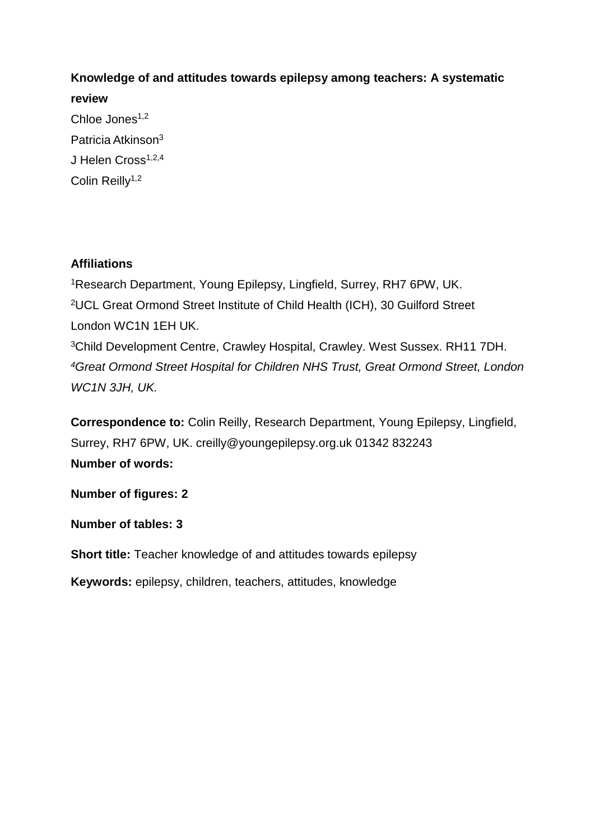# **Knowledge of and attitudes towards epilepsy among teachers: A systematic review**

Chloe Jones<sup>1,2</sup> Patricia Atkinson<sup>3</sup> J Helen Cross<sup>1,2,4</sup> Colin Reilly<sup>1,2</sup>

# **Affiliations**

Research Department, Young Epilepsy, Lingfield, Surrey, RH7 6PW, UK. UCL Great Ormond Street Institute of Child Health (ICH), 30 Guilford Street London WC1N 1EH UK. Child Development Centre, Crawley Hospital, Crawley. West Sussex. RH11 7DH. *Great Ormond Street Hospital for Children NHS Trust, Great Ormond Street, London WC1N 3JH, UK.* 

**Correspondence to:** Colin Reilly, Research Department, Young Epilepsy, Lingfield, Surrey, RH7 6PW, UK. creilly@youngepilepsy.org.uk 01342 832243 **Number of words:** 

**Number of figures: 2** 

**Number of tables: 3** 

**Short title:** Teacher knowledge of and attitudes towards epilepsy

**Keywords:** epilepsy, children, teachers, attitudes, knowledge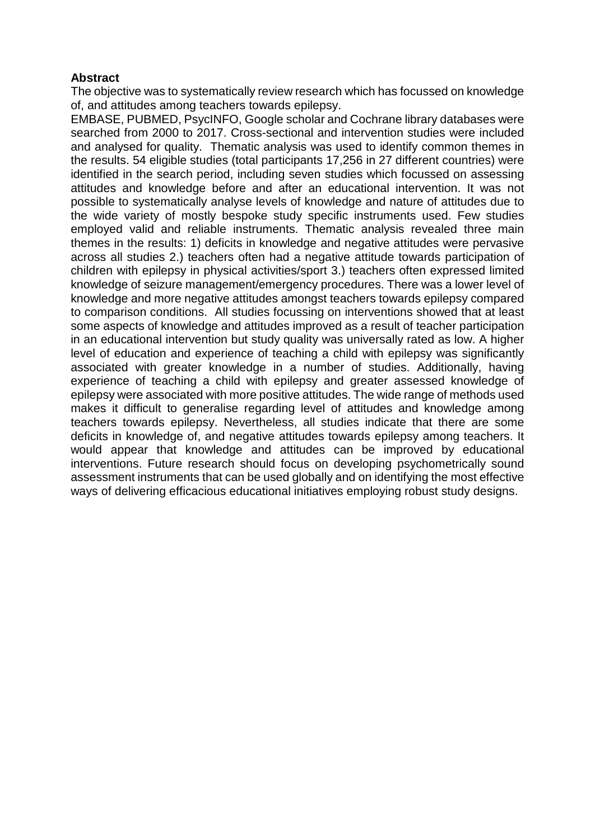## **Abstract**

The objective was to systematically review research which has focussed on knowledge of, and attitudes among teachers towards epilepsy.

EMBASE, PUBMED, PsycINFO, Google scholar and Cochrane library databases were searched from 2000 to 2017. Cross-sectional and intervention studies were included and analysed for quality. Thematic analysis was used to identify common themes in the results. 54 eligible studies (total participants 17,256 in 27 different countries) were identified in the search period, including seven studies which focussed on assessing attitudes and knowledge before and after an educational intervention. It was not possible to systematically analyse levels of knowledge and nature of attitudes due to the wide variety of mostly bespoke study specific instruments used. Few studies employed valid and reliable instruments. Thematic analysis revealed three main themes in the results: 1) deficits in knowledge and negative attitudes were pervasive across all studies 2.) teachers often had a negative attitude towards participation of children with epilepsy in physical activities/sport 3.) teachers often expressed limited knowledge of seizure management/emergency procedures. There was a lower level of knowledge and more negative attitudes amongst teachers towards epilepsy compared to comparison conditions. All studies focussing on interventions showed that at least some aspects of knowledge and attitudes improved as a result of teacher participation in an educational intervention but study quality was universally rated as low. A higher level of education and experience of teaching a child with epilepsy was significantly associated with greater knowledge in a number of studies. Additionally, having experience of teaching a child with epilepsy and greater assessed knowledge of epilepsy were associated with more positive attitudes. The wide range of methods used makes it difficult to generalise regarding level of attitudes and knowledge among teachers towards epilepsy. Nevertheless, all studies indicate that there are some deficits in knowledge of, and negative attitudes towards epilepsy among teachers. It would appear that knowledge and attitudes can be improved by educational interventions. Future research should focus on developing psychometrically sound assessment instruments that can be used globally and on identifying the most effective ways of delivering efficacious educational initiatives employing robust study designs.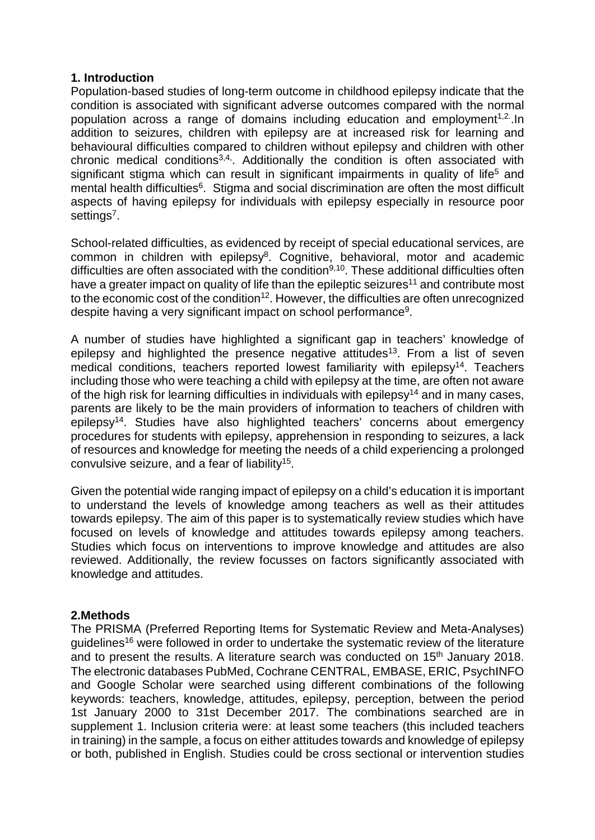#### **1. Introduction**

Population-based studies of long-term outcome in childhood epilepsy indicate that the condition is associated with significant adverse outcomes compared with the normal population across a range of domains including education and employment<sup>1,2</sup>.ln addition to seizures, children with epilepsy are at increased risk for learning and behavioural difficulties compared to children without epilepsy and children with other chronic medical conditions3,4,. Additionally the condition is often associated with significant stigma which can result in significant impairments in quality of life<sup>5</sup> and mental health difficulties<sup>6</sup>. Stigma and social discrimination are often the most difficult aspects of having epilepsy for individuals with epilepsy especially in resource poor settings<sup>7</sup>.

School-related difficulties, as evidenced by receipt of special educational services, are common in children with epilepsy<sup>8</sup>. Cognitive, behavioral, motor and academic difficulties are often associated with the condition<sup>9,10</sup>. These additional difficulties often have a greater impact on quality of life than the epileptic seizures<sup>11</sup> and contribute most to the economic cost of the condition<sup>12</sup>. However, the difficulties are often unrecognized despite having a very significant impact on school performance<sup>9</sup>.

A number of studies have highlighted a significant gap in teachers' knowledge of epilepsy and highlighted the presence negative attitudes<sup>13</sup>. From a list of seven medical conditions, teachers reported lowest familiarity with epilepsy<sup>14</sup>. Teachers including those who were teaching a child with epilepsy at the time, are often not aware of the high risk for learning difficulties in individuals with epilepsy<sup>14</sup> and in many cases, parents are likely to be the main providers of information to teachers of children with epilepsy<sup>14</sup>. Studies have also highlighted teachers' concerns about emergency procedures for students with epilepsy, apprehension in responding to seizures, a lack of resources and knowledge for meeting the needs of a child experiencing a prolonged convulsive seizure, and a fear of liability<sup>15</sup>.

Given the potential wide ranging impact of epilepsy on a child's education it is important to understand the levels of knowledge among teachers as well as their attitudes towards epilepsy. The aim of this paper is to systematically review studies which have focused on levels of knowledge and attitudes towards epilepsy among teachers. Studies which focus on interventions to improve knowledge and attitudes are also reviewed. Additionally, the review focusses on factors significantly associated with knowledge and attitudes.

#### **2.Methods**

The PRISMA (Preferred Reporting Items for Systematic Review and Meta-Analyses) guidelines<sup>16</sup> were followed in order to undertake the systematic review of the literature and to present the results. A literature search was conducted on 15<sup>th</sup> January 2018. The electronic databases PubMed, Cochrane CENTRAL, EMBASE, ERIC, PsychINFO and Google Scholar were searched using different combinations of the following keywords: teachers, knowledge, attitudes, epilepsy, perception, between the period 1st January 2000 to 31st December 2017. The combinations searched are in supplement 1. Inclusion criteria were: at least some teachers (this included teachers in training) in the sample, a focus on either attitudes towards and knowledge of epilepsy or both, published in English. Studies could be cross sectional or intervention studies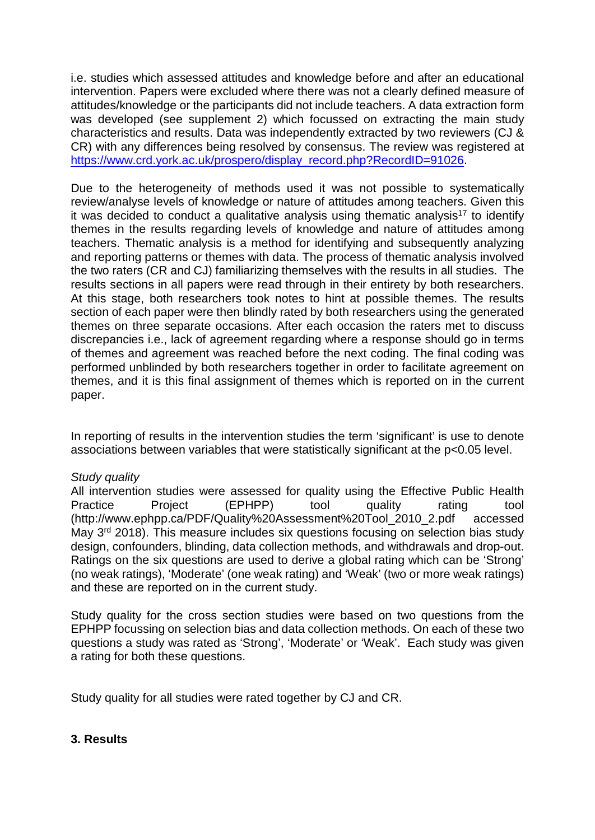i.e. studies which assessed attitudes and knowledge before and after an educational intervention. Papers were excluded where there was not a clearly defined measure of attitudes/knowledge or the participants did not include teachers. A data extraction form was developed (see supplement 2) which focussed on extracting the main study characteristics and results. Data was independently extracted by two reviewers (CJ & CR) with any differences being resolved by consensus. The review was registered at [https://www.crd.york.ac.uk/prospero/display\\_record.php?RecordID=91026.](https://www.crd.york.ac.uk/prospero/display_record.php?RecordID=91026)

Due to the heterogeneity of methods used it was not possible to systematically review/analyse levels of knowledge or nature of attitudes among teachers. Given this it was decided to conduct a qualitative analysis using thematic analysis<sup>17</sup> to identify themes in the results regarding levels of knowledge and nature of attitudes among teachers. Thematic analysis is a method for identifying and subsequently analyzing and reporting patterns or themes with data. The process of thematic analysis involved the two raters (CR and CJ) familiarizing themselves with the results in all studies. The results sections in all papers were read through in their entirety by both researchers. At this stage, both researchers took notes to hint at possible themes. The results section of each paper were then blindly rated by both researchers using the generated themes on three separate occasions. After each occasion the raters met to discuss discrepancies i.e., lack of agreement regarding where a response should go in terms of themes and agreement was reached before the next coding. The final coding was performed unblinded by both researchers together in order to facilitate agreement on themes, and it is this final assignment of themes which is reported on in the current paper.

In reporting of results in the intervention studies the term 'significant' is use to denote associations between variables that were statistically significant at the p<0.05 level.

#### *Study quality*

All intervention studies were assessed for quality using the Effective Public Health Practice Project (EPHPP) tool quality rating tool (http://www.ephpp.ca/PDF/Quality%20Assessment%20Tool\_2010\_2.pdf accessed Mav 3<sup>rd</sup> 2018). This measure includes six questions focusing on selection bias study design, confounders, blinding, data collection methods, and withdrawals and drop-out. Ratings on the six questions are used to derive a global rating which can be 'Strong' (no weak ratings), 'Moderate' (one weak rating) and 'Weak' (two or more weak ratings) and these are reported on in the current study.

Study quality for the cross section studies were based on two questions from the EPHPP focussing on selection bias and data collection methods. On each of these two questions a study was rated as 'Strong', 'Moderate' or 'Weak'. Each study was given a rating for both these questions.

Study quality for all studies were rated together by CJ and CR.

#### **3. Results**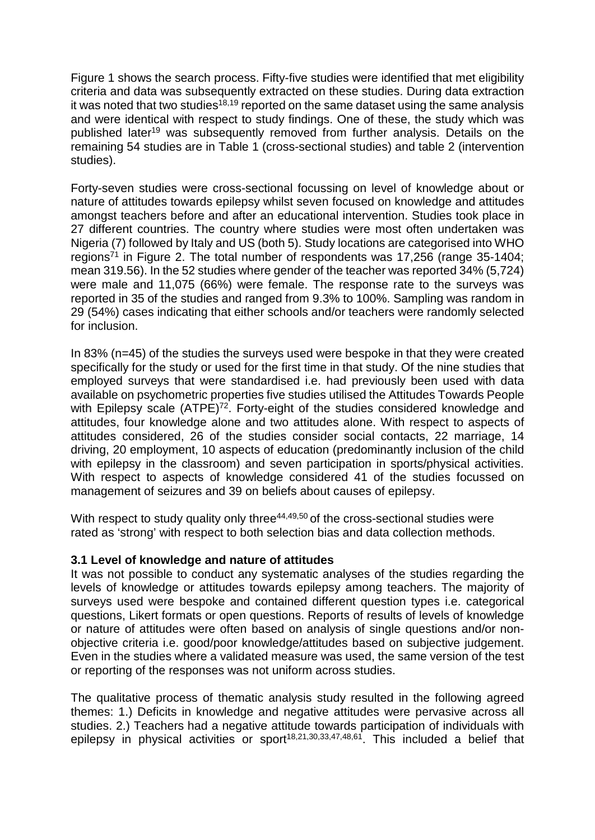Figure 1 shows the search process. Fifty-five studies were identified that met eligibility criteria and data was subsequently extracted on these studies. During data extraction it was noted that two studies<sup>18,19</sup> reported on the same dataset using the same analysis and were identical with respect to study findings. One of these, the study which was published later<sup>19</sup> was subsequently removed from further analysis. Details on the remaining 54 studies are in Table 1 (cross-sectional studies) and table 2 (intervention studies).

Forty-seven studies were cross-sectional focussing on level of knowledge about or nature of attitudes towards epilepsy whilst seven focused on knowledge and attitudes amongst teachers before and after an educational intervention. Studies took place in 27 different countries. The country where studies were most often undertaken was Nigeria (7) followed by Italy and US (both 5). Study locations are categorised into WHO regions<sup>71</sup> in Figure 2. The total number of respondents was 17,256 (range 35-1404; mean 319.56). In the 52 studies where gender of the teacher was reported 34% (5,724) were male and 11,075 (66%) were female. The response rate to the surveys was reported in 35 of the studies and ranged from 9.3% to 100%. Sampling was random in 29 (54%) cases indicating that either schools and/or teachers were randomly selected for inclusion.

In 83% (n=45) of the studies the surveys used were bespoke in that they were created specifically for the study or used for the first time in that study. Of the nine studies that employed surveys that were standardised i.e. had previously been used with data available on psychometric properties five studies utilised the Attitudes Towards People with Epilepsy scale (ATPE)<sup>72</sup>. Forty-eight of the studies considered knowledge and attitudes, four knowledge alone and two attitudes alone. With respect to aspects of attitudes considered, 26 of the studies consider social contacts, 22 marriage, 14 driving, 20 employment, 10 aspects of education (predominantly inclusion of the child with epilepsy in the classroom) and seven participation in sports/physical activities. With respect to aspects of knowledge considered 41 of the studies focussed on management of seizures and 39 on beliefs about causes of epilepsy.

With respect to study quality only three<sup>44,49,50</sup> of the cross-sectional studies were rated as 'strong' with respect to both selection bias and data collection methods.

#### **3.1 Level of knowledge and nature of attitudes**

It was not possible to conduct any systematic analyses of the studies regarding the levels of knowledge or attitudes towards epilepsy among teachers. The majority of surveys used were bespoke and contained different question types i.e. categorical questions, Likert formats or open questions. Reports of results of levels of knowledge or nature of attitudes were often based on analysis of single questions and/or nonobjective criteria i.e. good/poor knowledge/attitudes based on subjective judgement. Even in the studies where a validated measure was used, the same version of the test or reporting of the responses was not uniform across studies.

The qualitative process of thematic analysis study resulted in the following agreed themes: 1.) Deficits in knowledge and negative attitudes were pervasive across all studies. 2.) Teachers had a negative attitude towards participation of individuals with epilepsy in physical activities or sport<sup>18,21,30,33,47,48,61</sup>. This included a belief that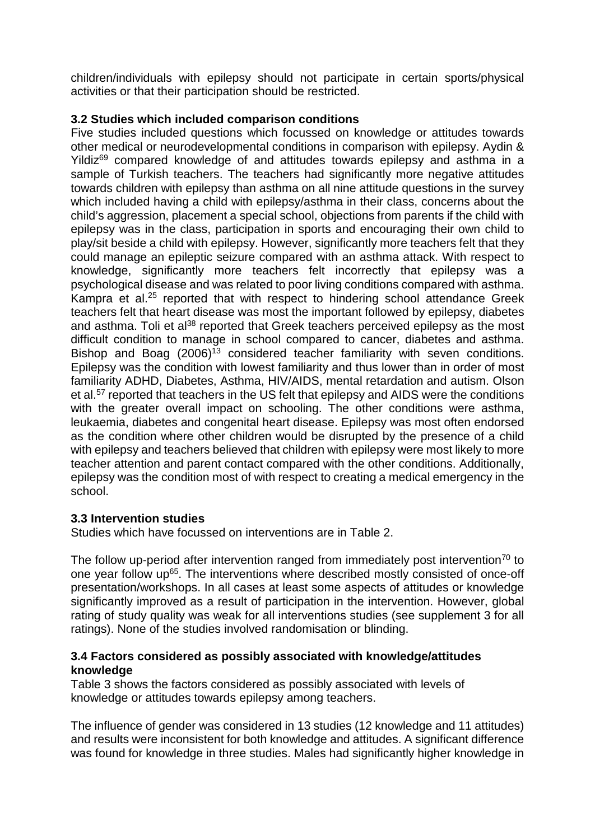children/individuals with epilepsy should not participate in certain sports/physical activities or that their participation should be restricted.

# **3.2 Studies which included comparison conditions**

Five studies included questions which focussed on knowledge or attitudes towards other medical or neurodevelopmental conditions in comparison with epilepsy. Aydin & Yildiz<sup>69</sup> compared knowledge of and attitudes towards epilepsy and asthma in a sample of Turkish teachers. The teachers had significantly more negative attitudes towards children with epilepsy than asthma on all nine attitude questions in the survey which included having a child with epilepsy/asthma in their class, concerns about the child's aggression, placement a special school, objections from parents if the child with epilepsy was in the class, participation in sports and encouraging their own child to play/sit beside a child with epilepsy. However, significantly more teachers felt that they could manage an epileptic seizure compared with an asthma attack. With respect to knowledge, significantly more teachers felt incorrectly that epilepsy was a psychological disease and was related to poor living conditions compared with asthma. Kampra et al.<sup>25</sup> reported that with respect to hindering school attendance Greek teachers felt that heart disease was most the important followed by epilepsy, diabetes and asthma. Toli et al<sup>38</sup> reported that Greek teachers perceived epilepsy as the most difficult condition to manage in school compared to cancer, diabetes and asthma. Bishop and Boag  $(2006)^{13}$  considered teacher familiarity with seven conditions. Epilepsy was the condition with lowest familiarity and thus lower than in order of most familiarity ADHD, Diabetes, Asthma, HIV/AIDS, mental retardation and autism. Olson et al.<sup>57</sup> reported that teachers in the US felt that epilepsy and AIDS were the conditions with the greater overall impact on schooling. The other conditions were asthma, leukaemia, diabetes and congenital heart disease. Epilepsy was most often endorsed as the condition where other children would be disrupted by the presence of a child with epilepsy and teachers believed that children with epilepsy were most likely to more teacher attention and parent contact compared with the other conditions. Additionally, epilepsy was the condition most of with respect to creating a medical emergency in the school.

#### **3.3 Intervention studies**

Studies which have focussed on interventions are in Table 2.

The follow up-period after intervention ranged from immediately post intervention<sup>70</sup> to one year follow up<sup>65</sup>. The interventions where described mostly consisted of once-off presentation/workshops. In all cases at least some aspects of attitudes or knowledge significantly improved as a result of participation in the intervention. However, global rating of study quality was weak for all interventions studies (see supplement 3 for all ratings). None of the studies involved randomisation or blinding.

#### **3.4 Factors considered as possibly associated with knowledge/attitudes knowledge**

Table 3 shows the factors considered as possibly associated with levels of knowledge or attitudes towards epilepsy among teachers.

The influence of gender was considered in 13 studies (12 knowledge and 11 attitudes) and results were inconsistent for both knowledge and attitudes. A significant difference was found for knowledge in three studies. Males had significantly higher knowledge in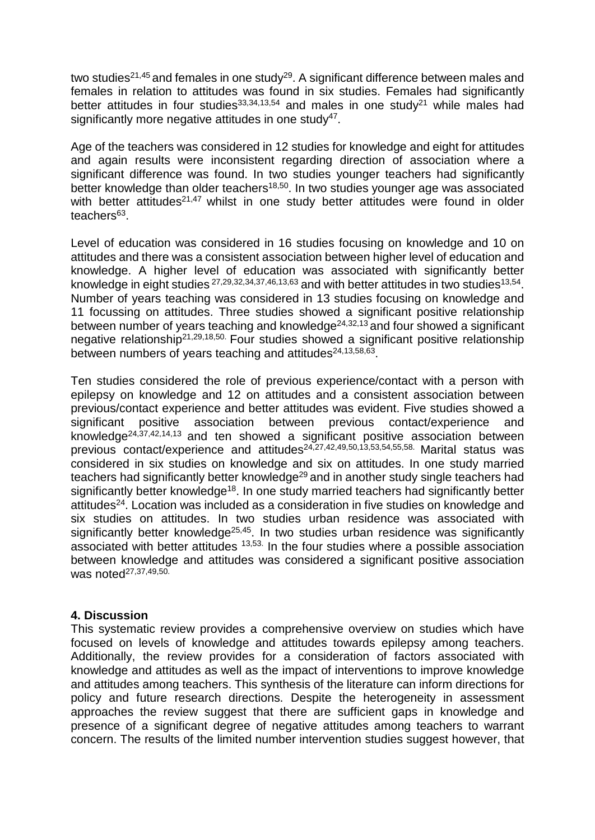two studies<sup>21,45</sup> and females in one study<sup>29</sup>. A significant difference between males and females in relation to attitudes was found in six studies. Females had significantly better attitudes in four studies  $33,34,13,54$  and males in one study<sup>21</sup> while males had significantly more negative attitudes in one study<sup>47</sup>.

Age of the teachers was considered in 12 studies for knowledge and eight for attitudes and again results were inconsistent regarding direction of association where a significant difference was found. In two studies younger teachers had significantly better knowledge than older teachers<sup>18,50</sup>. In two studies younger age was associated with better attitudes<sup>21,47</sup> whilst in one study better attitudes were found in older teachers<sup>63</sup>.

Level of education was considered in 16 studies focusing on knowledge and 10 on attitudes and there was a consistent association between higher level of education and knowledge. A higher level of education was associated with significantly better knowledge in eight studies  $27,29,32,34,37,46,13,63$  and with better attitudes in two studies  $13,54$ . Number of years teaching was considered in 13 studies focusing on knowledge and 11 focussing on attitudes. Three studies showed a significant positive relationship between number of years teaching and knowledge<sup>24,32,13</sup> and four showed a significant negative relationship21,29,18,50. Four studies showed a significant positive relationship between numbers of years teaching and attitudes $24,13,58,63$ .

Ten studies considered the role of previous experience/contact with a person with epilepsy on knowledge and 12 on attitudes and a consistent association between previous/contact experience and better attitudes was evident. Five studies showed a significant positive association between previous contact/experience and knowledge<sup>24,37,42,14,13</sup> and ten showed a significant positive association between previous contact/experience and attitudes<sup>24,27,42,49,50,13,53,54,55,58</sup>. Marital status was considered in six studies on knowledge and six on attitudes. In one study married teachers had significantly better knowledge<sup>29</sup> and in another study single teachers had significantly better knowledge<sup>18</sup>. In one study married teachers had significantly better attitudes<sup>24</sup>. Location was included as a consideration in five studies on knowledge and six studies on attitudes. In two studies urban residence was associated with significantly better knowledge<sup>25,45</sup>. In two studies urban residence was significantly associated with better attitudes 13,53. In the four studies where a possible association between knowledge and attitudes was considered a significant positive association was noted<sup>27,37,49,50.</sup>

# **4. Discussion**

This systematic review provides a comprehensive overview on studies which have focused on levels of knowledge and attitudes towards epilepsy among teachers. Additionally, the review provides for a consideration of factors associated with knowledge and attitudes as well as the impact of interventions to improve knowledge and attitudes among teachers. This synthesis of the literature can inform directions for policy and future research directions. Despite the heterogeneity in assessment approaches the review suggest that there are sufficient gaps in knowledge and presence of a significant degree of negative attitudes among teachers to warrant concern. The results of the limited number intervention studies suggest however, that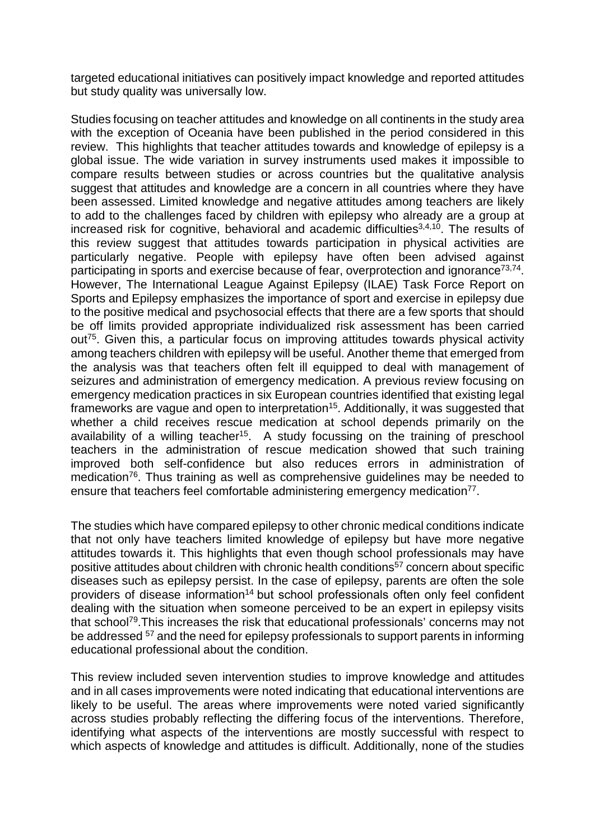targeted educational initiatives can positively impact knowledge and reported attitudes but study quality was universally low.

Studies focusing on teacher attitudes and knowledge on all continents in the study area with the exception of Oceania have been published in the period considered in this review. This highlights that teacher attitudes towards and knowledge of epilepsy is a global issue. The wide variation in survey instruments used makes it impossible to compare results between studies or across countries but the qualitative analysis suggest that attitudes and knowledge are a concern in all countries where they have been assessed. Limited knowledge and negative attitudes among teachers are likely to add to the challenges faced by children with epilepsy who already are a group at increased risk for cognitive, behavioral and academic difficulties $3,4,10$ . The results of this review suggest that attitudes towards participation in physical activities are particularly negative. People with epilepsy have often been advised against participating in sports and exercise because of fear, overprotection and ignorance<sup>73,74</sup>. However, The International League Against Epilepsy (ILAE) Task Force Report on Sports and Epilepsy emphasizes the importance of sport and exercise in epilepsy due to the positive medical and psychosocial effects that there are a few sports that should be off limits provided appropriate individualized risk assessment has been carried out<sup>75</sup>. Given this, a particular focus on improving attitudes towards physical activity among teachers children with epilepsy will be useful. Another theme that emerged from the analysis was that teachers often felt ill equipped to deal with management of seizures and administration of emergency medication. A previous review focusing on emergency medication practices in six European countries identified that existing legal frameworks are vague and open to interpretation<sup>15</sup>. Additionally, it was suggested that whether a child receives rescue medication at school depends primarily on the availability of a willing teacher<sup>15</sup>. A study focussing on the training of preschool teachers in the administration of rescue medication showed that such training improved both self-confidence but also reduces errors in administration of medication<sup>76</sup>. Thus training as well as comprehensive guidelines may be needed to ensure that teachers feel comfortable administering emergency medication<sup>77</sup>.

The studies which have compared epilepsy to other chronic medical conditions indicate that not only have teachers limited knowledge of epilepsy but have more negative attitudes towards it. This highlights that even though school professionals may have positive attitudes about children with chronic health conditions<sup>57</sup> concern about specific diseases such as epilepsy persist. In the case of epilepsy, parents are often the sole providers of disease information<sup>14</sup> but school professionals often only feel confident dealing with the situation when someone perceived to be an expert in epilepsy visits that school<sup>79</sup>. This increases the risk that educational professionals' concerns may not be addressed <sup>57</sup> and the need for epilepsy professionals to support parents in informing educational professional about the condition.

This review included seven intervention studies to improve knowledge and attitudes and in all cases improvements were noted indicating that educational interventions are likely to be useful. The areas where improvements were noted varied significantly across studies probably reflecting the differing focus of the interventions. Therefore, identifying what aspects of the interventions are mostly successful with respect to which aspects of knowledge and attitudes is difficult. Additionally, none of the studies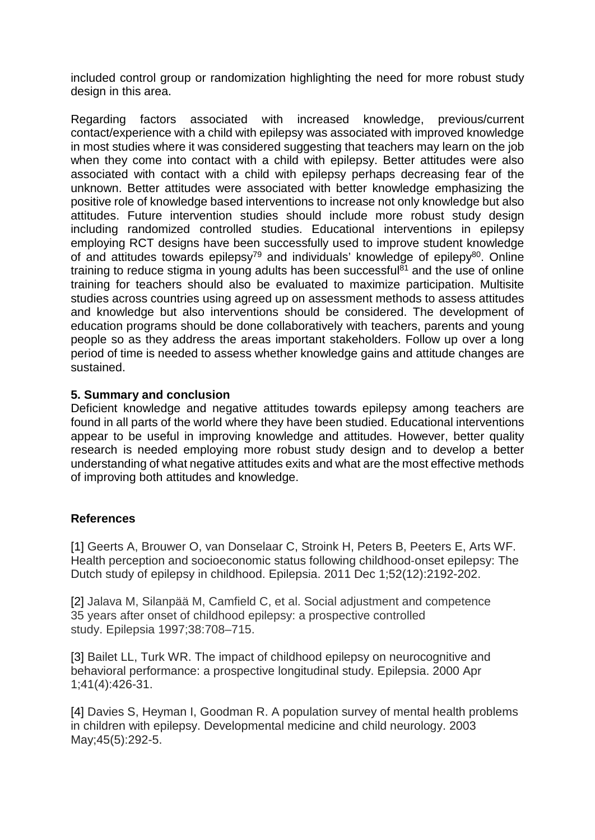included control group or randomization highlighting the need for more robust study design in this area.

Regarding factors associated with increased knowledge, previous/current contact/experience with a child with epilepsy was associated with improved knowledge in most studies where it was considered suggesting that teachers may learn on the job when they come into contact with a child with epilepsy. Better attitudes were also associated with contact with a child with epilepsy perhaps decreasing fear of the unknown. Better attitudes were associated with better knowledge emphasizing the positive role of knowledge based interventions to increase not only knowledge but also attitudes. Future intervention studies should include more robust study design including randomized controlled studies. Educational interventions in epilepsy employing RCT designs have been successfully used to improve student knowledge of and attitudes towards epilepsy<sup>79</sup> and individuals' knowledge of epilepy<sup>80</sup>. Online training to reduce stigma in young adults has been successful $\delta$ <sup>1</sup> and the use of online training for teachers should also be evaluated to maximize participation. Multisite studies across countries using agreed up on assessment methods to assess attitudes and knowledge but also interventions should be considered. The development of education programs should be done collaboratively with teachers, parents and young people so as they address the areas important stakeholders. Follow up over a long period of time is needed to assess whether knowledge gains and attitude changes are sustained.

## **5. Summary and conclusion**

Deficient knowledge and negative attitudes towards epilepsy among teachers are found in all parts of the world where they have been studied. Educational interventions appear to be useful in improving knowledge and attitudes. However, better quality research is needed employing more robust study design and to develop a better understanding of what negative attitudes exits and what are the most effective methods of improving both attitudes and knowledge.

# **References**

[1] Geerts A, Brouwer O, van Donselaar C, Stroink H, Peters B, Peeters E, Arts WF. Health perception and socioeconomic status following childhood‐onset epilepsy: The Dutch study of epilepsy in childhood. Epilepsia. 2011 Dec 1;52(12):2192-202.

[2] Jalava M, Silanpää M, Camfield C, et al. Social adjustment and competence 35 years after onset of childhood epilepsy: a prospective controlled study. Epilepsia 1997;38:708–715.

[3] Bailet LL, Turk WR. The impact of childhood epilepsy on neurocognitive and behavioral performance: a prospective longitudinal study. Epilepsia. 2000 Apr 1;41(4):426-31.

[4] Davies S, Heyman I, Goodman R. A population survey of mental health problems in children with epilepsy. Developmental medicine and child neurology. 2003 May;45(5):292-5.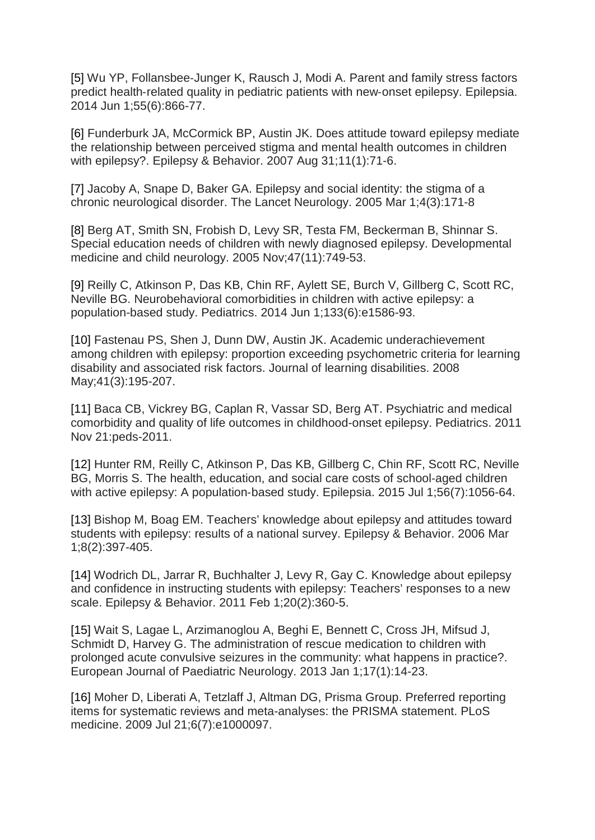[5] Wu YP, Follansbee‐Junger K, Rausch J, Modi A. Parent and family stress factors predict health-related quality in pediatric patients with new-onset epilepsy. Epilepsia. 2014 Jun 1;55(6):866-77.

[6] Funderburk JA, McCormick BP, Austin JK. Does attitude toward epilepsy mediate the relationship between perceived stigma and mental health outcomes in children with epilepsy?. Epilepsy & Behavior. 2007 Aug 31;11(1):71-6.

[7] Jacoby A, Snape D, Baker GA. Epilepsy and social identity: the stigma of a chronic neurological disorder. The Lancet Neurology. 2005 Mar 1;4(3):171-8

[8] Berg AT, Smith SN, Frobish D, Levy SR, Testa FM, Beckerman B, Shinnar S. Special education needs of children with newly diagnosed epilepsy. Developmental medicine and child neurology. 2005 Nov;47(11):749-53.

[9] Reilly C, Atkinson P, Das KB, Chin RF, Aylett SE, Burch V, Gillberg C, Scott RC, Neville BG. Neurobehavioral comorbidities in children with active epilepsy: a population-based study. Pediatrics. 2014 Jun 1;133(6):e1586-93.

[10] Fastenau PS, Shen J, Dunn DW, Austin JK. Academic underachievement among children with epilepsy: proportion exceeding psychometric criteria for learning disability and associated risk factors. Journal of learning disabilities. 2008 May;41(3):195-207.

[11] Baca CB, Vickrey BG, Caplan R, Vassar SD, Berg AT. Psychiatric and medical comorbidity and quality of life outcomes in childhood-onset epilepsy. Pediatrics. 2011 Nov 21:peds-2011.

[12] Hunter RM, Reilly C, Atkinson P, Das KB, Gillberg C, Chin RF, Scott RC, Neville BG, Morris S. The health, education, and social care costs of school‐aged children with active epilepsy: A population-based study. Epilepsia. 2015 Jul 1;56(7):1056-64.

[13] Bishop M, Boag EM. Teachers' knowledge about epilepsy and attitudes toward students with epilepsy: results of a national survey. Epilepsy & Behavior. 2006 Mar 1;8(2):397-405.

[14] Wodrich DL, Jarrar R, Buchhalter J, Levy R, Gay C. Knowledge about epilepsy and confidence in instructing students with epilepsy: Teachers' responses to a new scale. Epilepsy & Behavior. 2011 Feb 1;20(2):360-5.

[15] Wait S, Lagae L, Arzimanoglou A, Beghi E, Bennett C, Cross JH, Mifsud J, Schmidt D, Harvey G. The administration of rescue medication to children with prolonged acute convulsive seizures in the community: what happens in practice?. European Journal of Paediatric Neurology. 2013 Jan 1;17(1):14-23.

[16] Moher D, Liberati A, Tetzlaff J, Altman DG, Prisma Group. Preferred reporting items for systematic reviews and meta-analyses: the PRISMA statement. PLoS medicine. 2009 Jul 21;6(7):e1000097.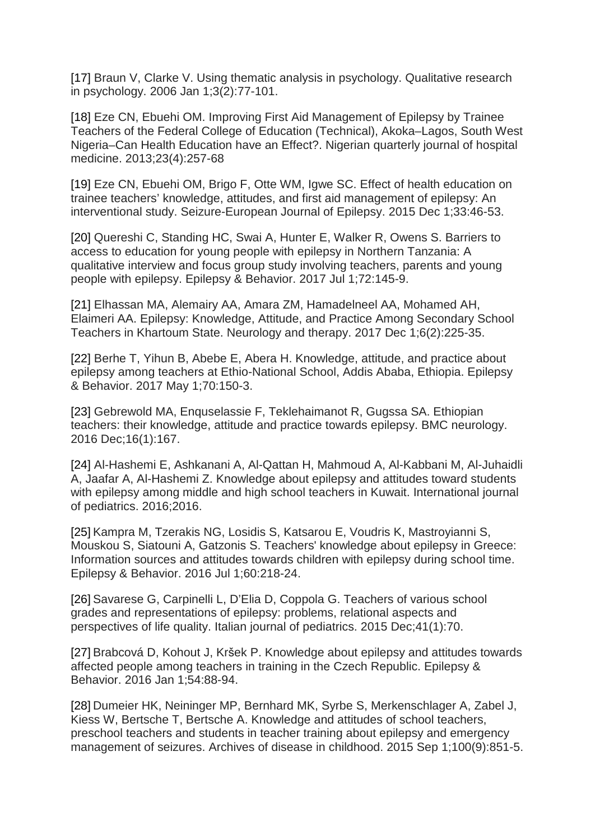[17] Braun V, Clarke V. Using thematic analysis in psychology. Qualitative research in psychology. 2006 Jan 1;3(2):77-101.

[18] Eze CN, Ebuehi OM. Improving First Aid Management of Epilepsy by Trainee Teachers of the Federal College of Education (Technical), Akoka–Lagos, South West Nigeria–Can Health Education have an Effect?. Nigerian quarterly journal of hospital medicine. 2013;23(4):257-68

[19] Eze CN, Ebuehi OM, Brigo F, Otte WM, Igwe SC. Effect of health education on trainee teachers' knowledge, attitudes, and first aid management of epilepsy: An interventional study. Seizure-European Journal of Epilepsy. 2015 Dec 1;33:46-53.

[20] Quereshi C, Standing HC, Swai A, Hunter E, Walker R, Owens S. Barriers to access to education for young people with epilepsy in Northern Tanzania: A qualitative interview and focus group study involving teachers, parents and young people with epilepsy. Epilepsy & Behavior. 2017 Jul 1;72:145-9.

[21] Elhassan MA, Alemairy AA, Amara ZM, Hamadelneel AA, Mohamed AH, Elaimeri AA. Epilepsy: Knowledge, Attitude, and Practice Among Secondary School Teachers in Khartoum State. Neurology and therapy. 2017 Dec 1;6(2):225-35.

[22] Berhe T, Yihun B, Abebe E, Abera H. Knowledge, attitude, and practice about epilepsy among teachers at Ethio-National School, Addis Ababa, Ethiopia. Epilepsy & Behavior. 2017 May 1;70:150-3.

[23] Gebrewold MA, Enquselassie F, Teklehaimanot R, Gugssa SA. Ethiopian teachers: their knowledge, attitude and practice towards epilepsy. BMC neurology. 2016 Dec;16(1):167.

[24] Al-Hashemi E, Ashkanani A, Al-Qattan H, Mahmoud A, Al-Kabbani M, Al-Juhaidli A, Jaafar A, Al-Hashemi Z. Knowledge about epilepsy and attitudes toward students with epilepsy among middle and high school teachers in Kuwait. International journal of pediatrics. 2016;2016.

[25] Kampra M, Tzerakis NG, Losidis S, Katsarou E, Voudris K, Mastroyianni S, Mouskou S, Siatouni A, Gatzonis S. Teachers' knowledge about epilepsy in Greece: Information sources and attitudes towards children with epilepsy during school time. Epilepsy & Behavior. 2016 Jul 1;60:218-24.

[26] Savarese G, Carpinelli L, D'Elia D, Coppola G. Teachers of various school grades and representations of epilepsy: problems, relational aspects and perspectives of life quality. Italian journal of pediatrics. 2015 Dec;41(1):70.

[27] Brabcová D, Kohout J, Kršek P. Knowledge about epilepsy and attitudes towards affected people among teachers in training in the Czech Republic. Epilepsy & Behavior. 2016 Jan 1;54:88-94.

[28] Dumeier HK, Neininger MP, Bernhard MK, Syrbe S, Merkenschlager A, Zabel J, Kiess W, Bertsche T, Bertsche A. Knowledge and attitudes of school teachers, preschool teachers and students in teacher training about epilepsy and emergency management of seizures. Archives of disease in childhood. 2015 Sep 1;100(9):851-5.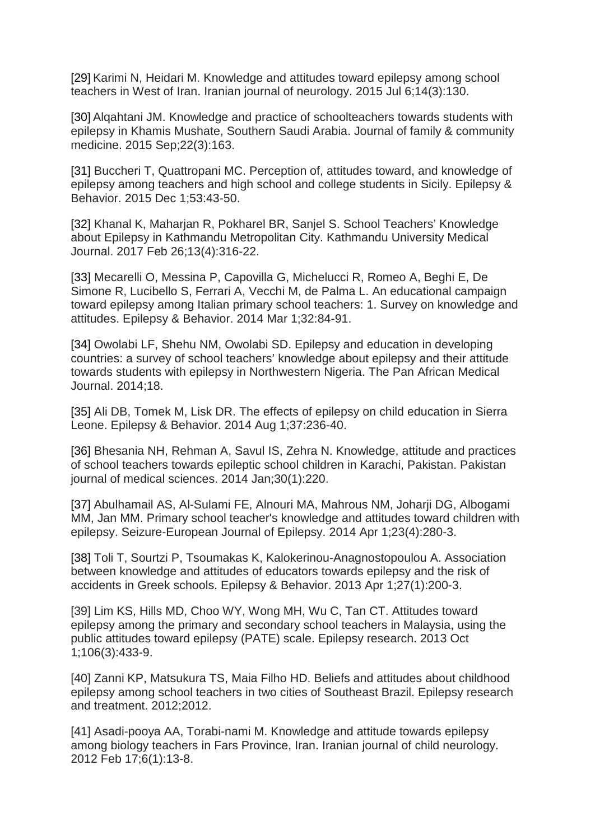[29] Karimi N, Heidari M. Knowledge and attitudes toward epilepsy among school teachers in West of Iran. Iranian journal of neurology. 2015 Jul 6;14(3):130.

[30] Alqahtani JM. Knowledge and practice of schoolteachers towards students with epilepsy in Khamis Mushate, Southern Saudi Arabia. Journal of family & community medicine. 2015 Sep;22(3):163.

[31] Buccheri T, Quattropani MC. Perception of, attitudes toward, and knowledge of epilepsy among teachers and high school and college students in Sicily. Epilepsy & Behavior. 2015 Dec 1;53:43-50.

[32] Khanal K, Maharjan R, Pokharel BR, Sanjel S. School Teachers' Knowledge about Epilepsy in Kathmandu Metropolitan City. Kathmandu University Medical Journal. 2017 Feb 26;13(4):316-22.

[33] Mecarelli O, Messina P, Capovilla G, Michelucci R, Romeo A, Beghi E, De Simone R, Lucibello S, Ferrari A, Vecchi M, de Palma L. An educational campaign toward epilepsy among Italian primary school teachers: 1. Survey on knowledge and attitudes. Epilepsy & Behavior. 2014 Mar 1;32:84-91.

[34] Owolabi LF, Shehu NM, Owolabi SD. Epilepsy and education in developing countries: a survey of school teachers' knowledge about epilepsy and their attitude towards students with epilepsy in Northwestern Nigeria. The Pan African Medical Journal. 2014;18.

[35] Ali DB, Tomek M, Lisk DR. The effects of epilepsy on child education in Sierra Leone. Epilepsy & Behavior. 2014 Aug 1;37:236-40.

[36] Bhesania NH, Rehman A, Savul IS, Zehra N. Knowledge, attitude and practices of school teachers towards epileptic school children in Karachi, Pakistan. Pakistan journal of medical sciences. 2014 Jan;30(1):220.

[37] Abulhamail AS, Al-Sulami FE, Alnouri MA, Mahrous NM, Joharji DG, Albogami MM, Jan MM. Primary school teacher's knowledge and attitudes toward children with epilepsy. Seizure-European Journal of Epilepsy. 2014 Apr 1;23(4):280-3.

[38] Toli T, Sourtzi P, Tsoumakas K, Kalokerinou-Anagnostopoulou A. Association between knowledge and attitudes of educators towards epilepsy and the risk of accidents in Greek schools. Epilepsy & Behavior. 2013 Apr 1;27(1):200-3.

[39] Lim KS, Hills MD, Choo WY, Wong MH, Wu C, Tan CT. Attitudes toward epilepsy among the primary and secondary school teachers in Malaysia, using the public attitudes toward epilepsy (PATE) scale. Epilepsy research. 2013 Oct 1;106(3):433-9.

[40] Zanni KP, Matsukura TS, Maia Filho HD. Beliefs and attitudes about childhood epilepsy among school teachers in two cities of Southeast Brazil. Epilepsy research and treatment. 2012;2012.

[41] Asadi-pooya AA, Torabi-nami M. Knowledge and attitude towards epilepsy among biology teachers in Fars Province, Iran. Iranian journal of child neurology. 2012 Feb 17;6(1):13-8.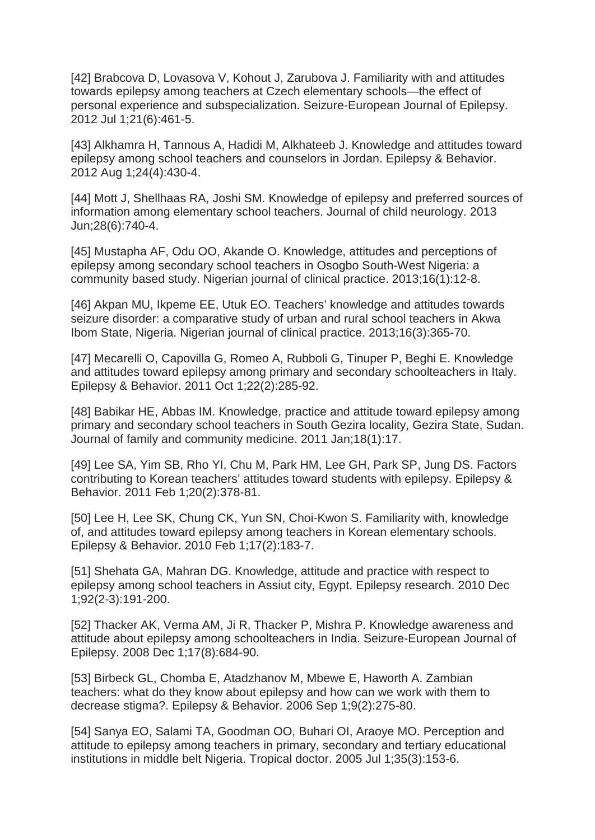[42] Brabcova D, Lovasova V, Kohout J, Zarubova J. Familiarity with and attitudes towards epilepsy among teachers at Czech elementary schools—the effect of personal experience and subspecialization. Seizure-European Journal of Epilepsy. 2012 Jul 1;21(6):461-5.

[43] Alkhamra H, Tannous A, Hadidi M, Alkhateeb J. Knowledge and attitudes toward epilepsy among school teachers and counselors in Jordan. Epilepsy & Behavior. 2012 Aug 1;24(4):430-4.

[44] Mott J, Shellhaas RA, Joshi SM. Knowledge of epilepsy and preferred sources of information among elementary school teachers. Journal of child neurology. 2013 Jun;28(6):740-4.

[45] Mustapha AF, Odu OO, Akande O. Knowledge, attitudes and perceptions of epilepsy among secondary school teachers in Osogbo South-West Nigeria: a community based study. Nigerian journal of clinical practice. 2013;16(1):12-8.

[46] Akpan MU, Ikpeme EE, Utuk EO. Teachers' knowledge and attitudes towards seizure disorder: a comparative study of urban and rural school teachers in Akwa Ibom State, Nigeria. Nigerian journal of clinical practice. 2013;16(3):365-70.

[47] Mecarelli O, Capovilla G, Romeo A, Rubboli G, Tinuper P, Beghi E. Knowledge and attitudes toward epilepsy among primary and secondary schoolteachers in Italy. Epilepsy & Behavior. 2011 Oct 1;22(2):285-92.

[48] Babikar HE, Abbas IM. Knowledge, practice and attitude toward epilepsy among primary and secondary school teachers in South Gezira locality, Gezira State, Sudan. Journal of family and community medicine. 2011 Jan;18(1):17.

[49] Lee SA, Yim SB, Rho YI, Chu M, Park HM, Lee GH, Park SP, Jung DS. Factors contributing to Korean teachers' attitudes toward students with epilepsy. Epilepsy & Behavior. 2011 Feb 1;20(2):378-81.

[50] Lee H, Lee SK, Chung CK, Yun SN, Choi-Kwon S. Familiarity with, knowledge of, and attitudes toward epilepsy among teachers in Korean elementary schools. Epilepsy & Behavior. 2010 Feb 1;17(2):183-7.

[51] Shehata GA, Mahran DG. Knowledge, attitude and practice with respect to epilepsy among school teachers in Assiut city, Egypt. Epilepsy research. 2010 Dec 1;92(2-3):191-200.

[52] Thacker AK, Verma AM, Ji R, Thacker P, Mishra P. Knowledge awareness and attitude about epilepsy among schoolteachers in India. Seizure-European Journal of Epilepsy. 2008 Dec 1;17(8):684-90.

[53] Birbeck GL, Chomba E, Atadzhanov M, Mbewe E, Haworth A. Zambian teachers: what do they know about epilepsy and how can we work with them to decrease stigma?. Epilepsy & Behavior. 2006 Sep 1;9(2):275-80.

[54] Sanya EO, Salami TA, Goodman OO, Buhari OI, Araoye MO. Perception and attitude to epilepsy among teachers in primary, secondary and tertiary educational institutions in middle belt Nigeria. Tropical doctor. 2005 Jul 1;35(3):153-6.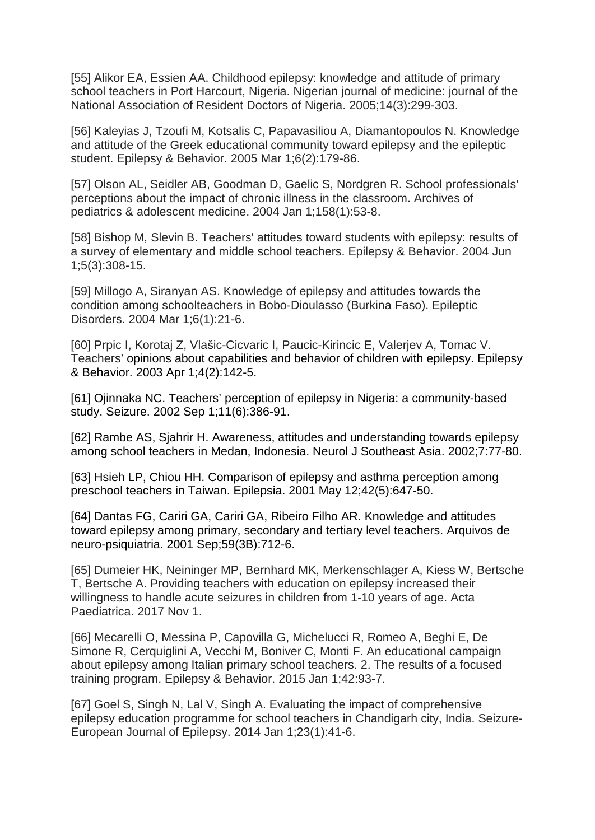[55] Alikor EA, Essien AA. Childhood epilepsy: knowledge and attitude of primary school teachers in Port Harcourt, Nigeria. Nigerian journal of medicine: journal of the National Association of Resident Doctors of Nigeria. 2005;14(3):299-303.

[56] Kaleyias J, Tzoufi M, Kotsalis C, Papavasiliou A, Diamantopoulos N. Knowledge and attitude of the Greek educational community toward epilepsy and the epileptic student. Epilepsy & Behavior. 2005 Mar 1;6(2):179-86.

[57] Olson AL, Seidler AB, Goodman D, Gaelic S, Nordgren R. School professionals' perceptions about the impact of chronic illness in the classroom. Archives of pediatrics & adolescent medicine. 2004 Jan 1;158(1):53-8.

[58] Bishop M, Slevin B. Teachers' attitudes toward students with epilepsy: results of a survey of elementary and middle school teachers. Epilepsy & Behavior. 2004 Jun 1;5(3):308-15.

[59] Millogo A, Siranyan AS. Knowledge of epilepsy and attitudes towards the condition among schoolteachers in Bobo‐Dioulasso (Burkina Faso). Epileptic Disorders. 2004 Mar 1;6(1):21-6.

[60] Prpic I, Korotaj Z, Vlašic-Cicvaric I, Paucic-Kirincic E, Valerjev A, Tomac V. Teachers' opinions about capabilities and behavior of children with epilepsy. Epilepsy & Behavior. 2003 Apr 1;4(2):142-5.

[61] Ojinnaka NC. Teachers' perception of epilepsy in Nigeria: a community-based study. Seizure. 2002 Sep 1;11(6):386-91.

[62] Rambe AS, Sjahrir H. Awareness, attitudes and understanding towards epilepsy among school teachers in Medan, Indonesia. Neurol J Southeast Asia. 2002;7:77-80.

[63] Hsieh LP, Chiou HH. Comparison of epilepsy and asthma perception among preschool teachers in Taiwan. Epilepsia. 2001 May 12;42(5):647-50.

[64] Dantas FG, Cariri GA, Cariri GA, Ribeiro Filho AR. Knowledge and attitudes toward epilepsy among primary, secondary and tertiary level teachers. Arquivos de neuro-psiquiatria. 2001 Sep;59(3B):712-6.

[65] Dumeier HK, Neininger MP, Bernhard MK, Merkenschlager A, Kiess W, Bertsche T, Bertsche A. Providing teachers with education on epilepsy increased their willingness to handle acute seizures in children from 1‐10 years of age. Acta Paediatrica. 2017 Nov 1.

[66] Mecarelli O, Messina P, Capovilla G, Michelucci R, Romeo A, Beghi E, De Simone R, Cerquiglini A, Vecchi M, Boniver C, Monti F. An educational campaign about epilepsy among Italian primary school teachers. 2. The results of a focused training program. Epilepsy & Behavior. 2015 Jan 1;42:93-7.

[67] Goel S, Singh N, Lal V, Singh A. Evaluating the impact of comprehensive epilepsy education programme for school teachers in Chandigarh city, India. Seizure-European Journal of Epilepsy. 2014 Jan 1;23(1):41-6.